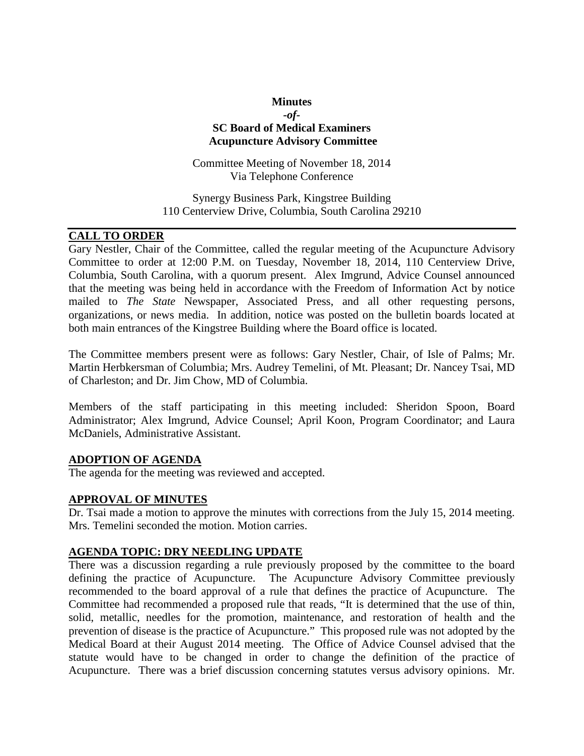# **Minutes** *-of-***SC Board of Medical Examiners Acupuncture Advisory Committee**

Committee Meeting of November 18, 2014 Via Telephone Conference

Synergy Business Park, Kingstree Building 110 Centerview Drive, Columbia, South Carolina 29210

# **CALL TO ORDER**

Gary Nestler, Chair of the Committee, called the regular meeting of the Acupuncture Advisory Committee to order at 12:00 P.M. on Tuesday, November 18, 2014, 110 Centerview Drive, Columbia, South Carolina, with a quorum present. Alex Imgrund, Advice Counsel announced that the meeting was being held in accordance with the Freedom of Information Act by notice mailed to *The State* Newspaper, Associated Press, and all other requesting persons, organizations, or news media. In addition, notice was posted on the bulletin boards located at both main entrances of the Kingstree Building where the Board office is located.

The Committee members present were as follows: Gary Nestler, Chair, of Isle of Palms; Mr. Martin Herbkersman of Columbia; Mrs. Audrey Temelini, of Mt. Pleasant; Dr. Nancey Tsai, MD of Charleston; and Dr. Jim Chow, MD of Columbia.

Members of the staff participating in this meeting included: Sheridon Spoon, Board Administrator; Alex Imgrund, Advice Counsel; April Koon, Program Coordinator; and Laura McDaniels, Administrative Assistant.

#### **ADOPTION OF AGENDA**

The agenda for the meeting was reviewed and accepted.

#### **APPROVAL OF MINUTES**

Dr. Tsai made a motion to approve the minutes with corrections from the July 15, 2014 meeting. Mrs. Temelini seconded the motion. Motion carries.

#### **AGENDA TOPIC: DRY NEEDLING UPDATE**

There was a discussion regarding a rule previously proposed by the committee to the board defining the practice of Acupuncture. The Acupuncture Advisory Committee previously recommended to the board approval of a rule that defines the practice of Acupuncture. The Committee had recommended a proposed rule that reads, "It is determined that the use of thin, solid, metallic, needles for the promotion, maintenance, and restoration of health and the prevention of disease is the practice of Acupuncture." This proposed rule was not adopted by the Medical Board at their August 2014 meeting. The Office of Advice Counsel advised that the statute would have to be changed in order to change the definition of the practice of Acupuncture. There was a brief discussion concerning statutes versus advisory opinions. Mr.